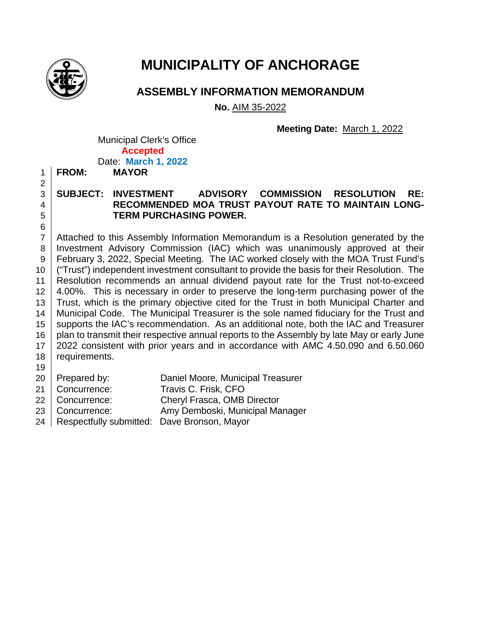

## **MUNICIPALITY OF ANCHORAGE**

**ASSEMBLY INFORMATION MEMORANDUM**

**No.** AIM 35-2022

**Meeting Date:** March 1, 2022

Municipal Clerk's Office **Accepted** Date: **March 1, 2022**

1 **FROM: MAYOR** 2

6

### 3 **SUBJECT: INVESTMENT ADVISORY COMMISSION RESOLUTION RE:**  4 **RECOMMENDED MOA TRUST PAYOUT RATE TO MAINTAIN LONG-**5 **TERM PURCHASING POWER.**

7 Attached to this Assembly Information Memorandum is a Resolution generated by the 8 Investment Advisory Commission (IAC) which was unanimously approved at their 9 February 3, 2022, Special Meeting. The IAC worked closely with the MOA Trust Fund's 10 ("Trust") independent investment consultant to provide the basis for their Resolution. The 11 Resolution recommends an annual dividend payout rate for the Trust not-to-exceed 12 4.00%. This is necessary in order to preserve the long-term purchasing power of the 13 Trust, which is the primary objective cited for the Trust in both Municipal Charter and 14 | Municipal Code. The Municipal Treasurer is the sole named fiduciary for the Trust and 15 | supports the IAC's recommendation. As an additional note, both the IAC and Treasurer 16 plan to transmit their respective annual reports to the Assembly by late May or early June 17 2022 consistent with prior years and in accordance with AMC 4.50.090 and 6.50.060 18 requirements.

- 19
- 20 Prepared by: Daniel Moore, Municipal Treasurer
- 21 | Concurrence: Travis C. Frisk, CFO
- 22 Concurrence: Cheryl Frasca, OMB Director
- 23 Concurrence: Amy Demboski, Municipal Manager
- 24 | Respectfully submitted: Dave Bronson, Mayor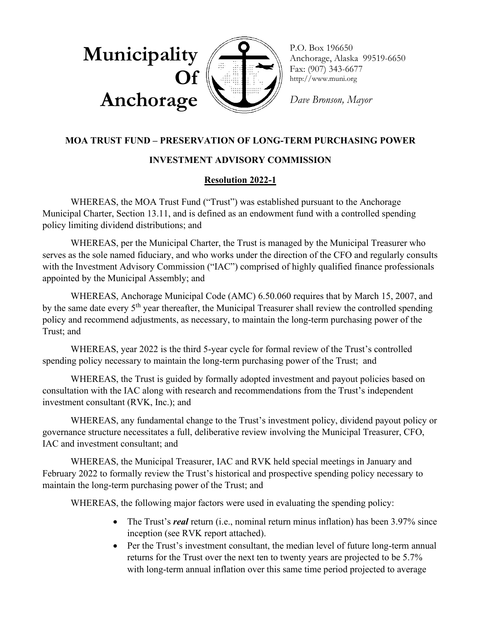

P.O. Box 196650 Anchorage, Alaska 99519-6650 Fax: (907) 343-6677 http://www.muni.org

*Dave Bronson, Mayor*

#### **MOA TRUST FUND – PRESERVATION OF LONG-TERM PURCHASING POWER**

#### **INVESTMENT ADVISORY COMMISSION**

#### **Resolution 2022-1**

WHEREAS, the MOA Trust Fund ("Trust") was established pursuant to the Anchorage Municipal Charter, Section 13.11, and is defined as an endowment fund with a controlled spending policy limiting dividend distributions; and

WHEREAS, per the Municipal Charter, the Trust is managed by the Municipal Treasurer who serves as the sole named fiduciary, and who works under the direction of the CFO and regularly consults with the Investment Advisory Commission ("IAC") comprised of highly qualified finance professionals appointed by the Municipal Assembly; and

WHEREAS, Anchorage Municipal Code (AMC) 6.50.060 requires that by March 15, 2007, and by the same date every 5<sup>th</sup> year thereafter, the Municipal Treasurer shall review the controlled spending policy and recommend adjustments, as necessary, to maintain the long-term purchasing power of the Trust; and

WHEREAS, year 2022 is the third 5-year cycle for formal review of the Trust's controlled spending policy necessary to maintain the long-term purchasing power of the Trust; and

WHEREAS, the Trust is guided by formally adopted investment and payout policies based on consultation with the IAC along with research and recommendations from the Trust's independent investment consultant (RVK, Inc.); and

WHEREAS, any fundamental change to the Trust's investment policy, dividend payout policy or governance structure necessitates a full, deliberative review involving the Municipal Treasurer, CFO, IAC and investment consultant; and

WHEREAS, the Municipal Treasurer, IAC and RVK held special meetings in January and February 2022 to formally review the Trust's historical and prospective spending policy necessary to maintain the long-term purchasing power of the Trust; and

WHEREAS, the following major factors were used in evaluating the spending policy:

- The Trust's *real* return (i.e., nominal return minus inflation) has been 3.97% since inception (see RVK report attached).
- Per the Trust's investment consultant, the median level of future long-term annual returns for the Trust over the next ten to twenty years are projected to be 5.7% with long-term annual inflation over this same time period projected to average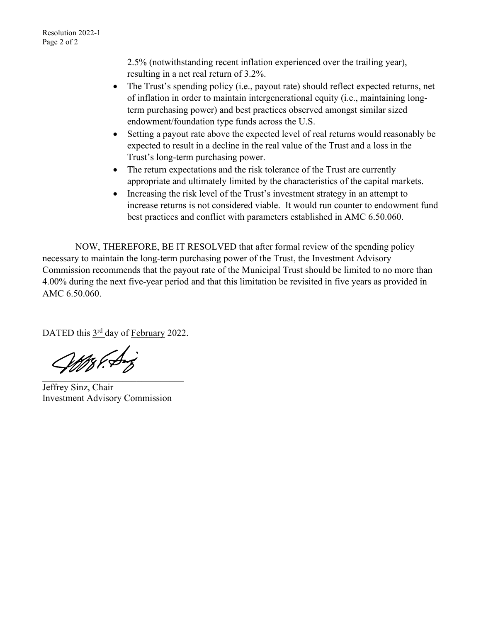2.5% (notwithstanding recent inflation experienced over the trailing year), resulting in a net real return of 3.2%.

- The Trust's spending policy (i.e., payout rate) should reflect expected returns, net of inflation in order to maintain intergenerational equity (i.e., maintaining longterm purchasing power) and best practices observed amongst similar sized endowment/foundation type funds across the U.S.
- Setting a payout rate above the expected level of real returns would reasonably be expected to result in a decline in the real value of the Trust and a loss in the Trust's long-term purchasing power.
- The return expectations and the risk tolerance of the Trust are currently appropriate and ultimately limited by the characteristics of the capital markets.
- Increasing the risk level of the Trust's investment strategy in an attempt to increase returns is not considered viable. It would run counter to endowment fund best practices and conflict with parameters established in AMC 6.50.060.

 NOW, THEREFORE, BE IT RESOLVED that after formal review of the spending policy necessary to maintain the long-term purchasing power of the Trust, the Investment Advisory Commission recommends that the payout rate of the Municipal Trust should be limited to no more than 4.00% during the next five-year period and that this limitation be revisited in five years as provided in AMC 6.50.060.

DATED this 3<sup>rd</sup> day of February 2022.

WAS Part  $\mathcal{L}$  and  $\mathcal{L}$ 

Jeffrey Sinz, Chair Investment Advisory Commission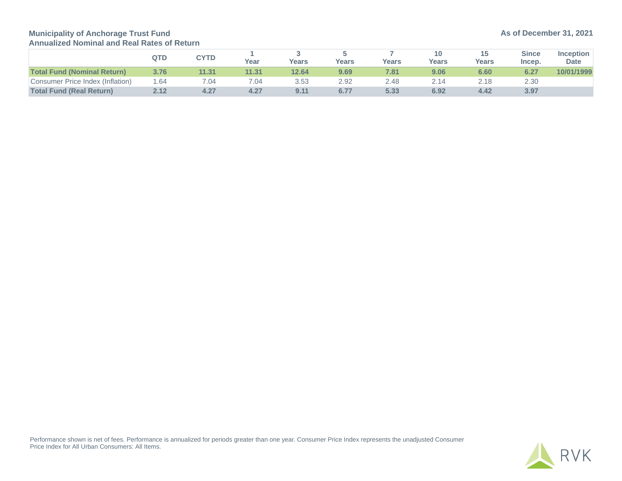**Municipality of Anchorage Trust Fund Annualized Nominal and Real Rates of Return**

|                                    | QTD  | <b>CYTD</b> | Year  | <b>Years</b> | <b>Years</b> | Years | 10<br>Years | 15<br><b>Years</b> | <b>Since</b><br>Incep. | <b>Inception</b><br><b>Date</b> |
|------------------------------------|------|-------------|-------|--------------|--------------|-------|-------------|--------------------|------------------------|---------------------------------|
| <b>Total Fund (Nominal Return)</b> | 3.76 | 11.31       | 11.31 | 12.64        | 9.69         | 7.81  | 9.06        | 6.60               | 6.27                   | 10/01/1999                      |
| Consumer Price Index (Inflation)   | 1.64 | 7.04        | 7.04  | 3.53         | 2.92         | 2.48  | 2.14        | 2.18               | 2.30                   |                                 |
| <b>Total Fund (Real Return)</b>    | 2.12 | 4.27        | 4.27  | 9.11         | 6.77         | 5.33  | 6.92        | 4.42               | 3.97                   |                                 |

Performance shown is net of fees. Performance is annualized for periods greater than one year. Consumer Price Index represents the unadjusted Consumer Price Index for All Urban Consumers: All Items.